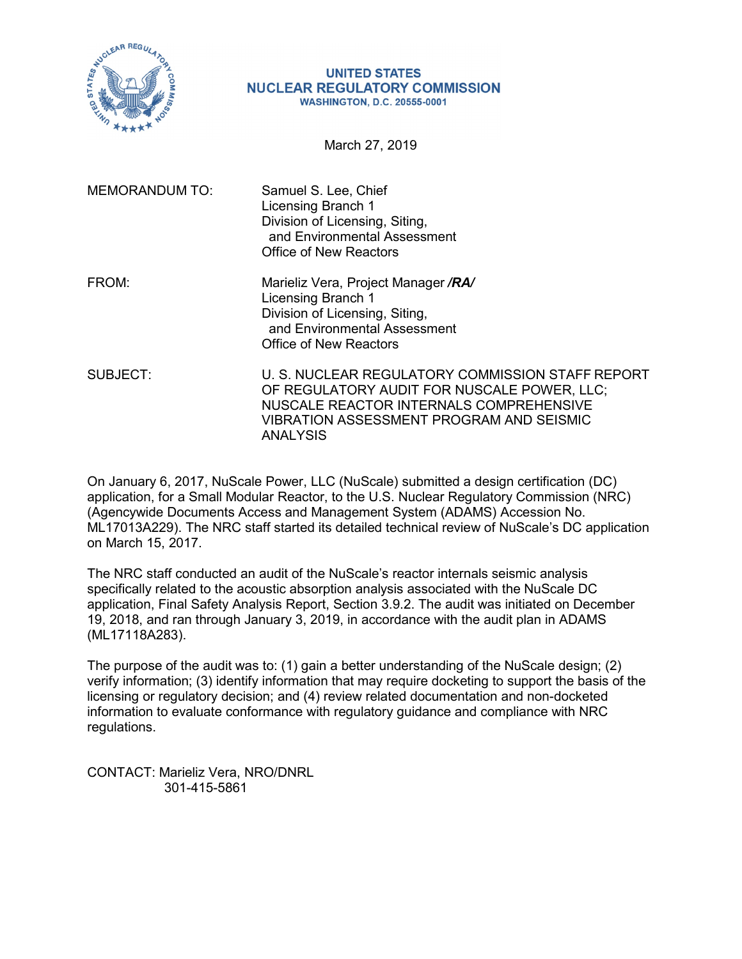

#### **UNITED STATES NUCLEAR REGULATORY COMMISSION WASHINGTON, D.C. 20555-0001**

March 27, 2019

| <b>MEMORANDUM TO:</b> | Samuel S. Lee, Chief<br>Licensing Branch 1<br>Division of Licensing, Siting,<br>and Environmental Assessment<br>Office of New Reactors                                                                           |
|-----------------------|------------------------------------------------------------------------------------------------------------------------------------------------------------------------------------------------------------------|
| FROM:                 | Marieliz Vera, Project Manager /RA/<br>Licensing Branch 1<br>Division of Licensing, Siting,<br>and Environmental Assessment<br>Office of New Reactors                                                            |
| SUBJECT:              | U. S. NUCLEAR REGULATORY COMMISSION STAFF REPORT<br>OF REGULATORY AUDIT FOR NUSCALE POWER, LLC;<br>NUSCALE REACTOR INTERNALS COMPREHENSIVE<br><b>VIBRATION ASSESSMENT PROGRAM AND SEISMIC</b><br><b>ANALYSIS</b> |

On January 6, 2017, NuScale Power, LLC (NuScale) submitted a design certification (DC) application, for a Small Modular Reactor, to the U.S. Nuclear Regulatory Commission (NRC) (Agencywide Documents Access and Management System (ADAMS) Accession No. ML17013A229). The NRC staff started its detailed technical review of NuScale's DC application on March 15, 2017.

The NRC staff conducted an audit of the NuScale's reactor internals seismic analysis specifically related to the acoustic absorption analysis associated with the NuScale DC application, Final Safety Analysis Report, Section 3.9.2. The audit was initiated on December 19, 2018, and ran through January 3, 2019, in accordance with the audit plan in ADAMS (ML17118A283).

The purpose of the audit was to: (1) gain a better understanding of the NuScale design; (2) verify information; (3) identify information that may require docketing to support the basis of the licensing or regulatory decision; and (4) review related documentation and non-docketed information to evaluate conformance with regulatory guidance and compliance with NRC regulations.

CONTACT: Marieliz Vera, NRO/DNRL 301-415-5861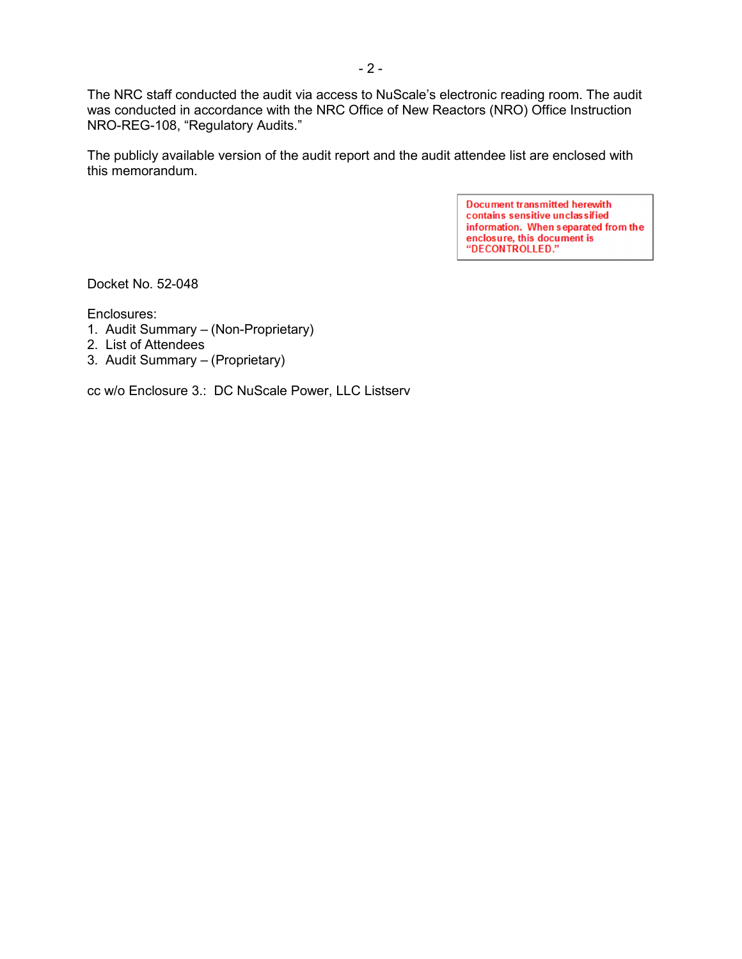The NRC staff conducted the audit via access to NuScale's electronic reading room. The audit was conducted in accordance with the NRC Office of New Reactors (NRO) Office Instruction NRO-REG-108, "Regulatory Audits."

The publicly available version of the audit report and the audit attendee list are enclosed with this memorandum.

> **Document transmitted herewith** contains sensitive unclassified information. When separated from the enclosure, this document is<br>"DECONTROLLED."

Docket No. 52-048

Enclosures:

- 1. Audit Summary (Non-Proprietary)
- 2. List of Attendees
- 3. Audit Summary (Proprietary)

cc w/o Enclosure 3.: DC NuScale Power, LLC Listserv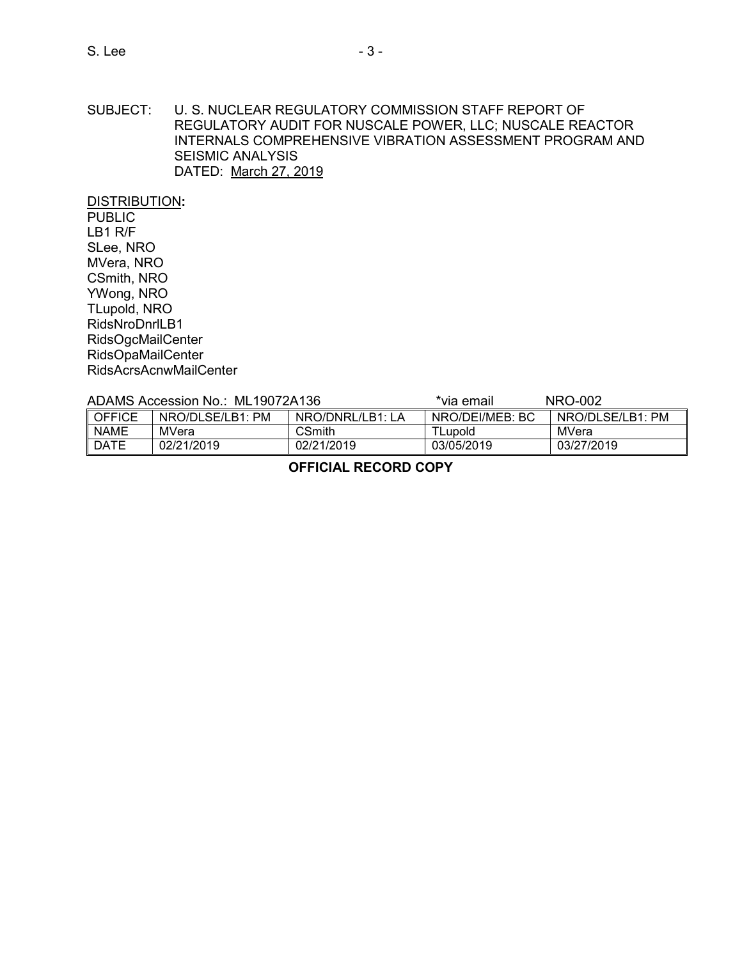#### SUBJECT: U. S. NUCLEAR REGULATORY COMMISSION STAFF REPORT OF REGULATORY AUDIT FOR NUSCALE POWER, LLC; NUSCALE REACTOR INTERNALS COMPREHENSIVE VIBRATION ASSESSMENT PROGRAM AND SEISMIC ANALYSIS DATED: March 27, 2019

DISTRIBUTION**: PUBLIC** LB1 R/F SLee, NRO MVera, NRO CSmith, NRO YWong, NRO TLupold, NRO RidsNroDnrlLB1 RidsOgcMailCenter RidsOpaMailCenter RidsAcrsAcnwMailCenter

# ADAMS Accession No.: ML19072A136 \*via email NRO-002

| $1.01$ $1.000000001110$ IVILTUUTE/100 |                     |                  | $100$ villall   | <b>שט שיווי</b>  |
|---------------------------------------|---------------------|------------------|-----------------|------------------|
| <b>OFFICE</b>                         | PM<br>NRO/DLSE/LB1: | NRO/DNRL/LB1: LA | NRO/DEI/MEB: BC | NRO/DLSE/LB1: PM |
| <b>NAME</b>                           | MVera               | CSmith           | <b>TLupold</b>  | MVera            |
| <b>DATE</b>                           | 02/21/2019          | 02/21/2019       | 03/05/2019      | 03/27/2019       |

### **OFFICIAL RECORD COPY**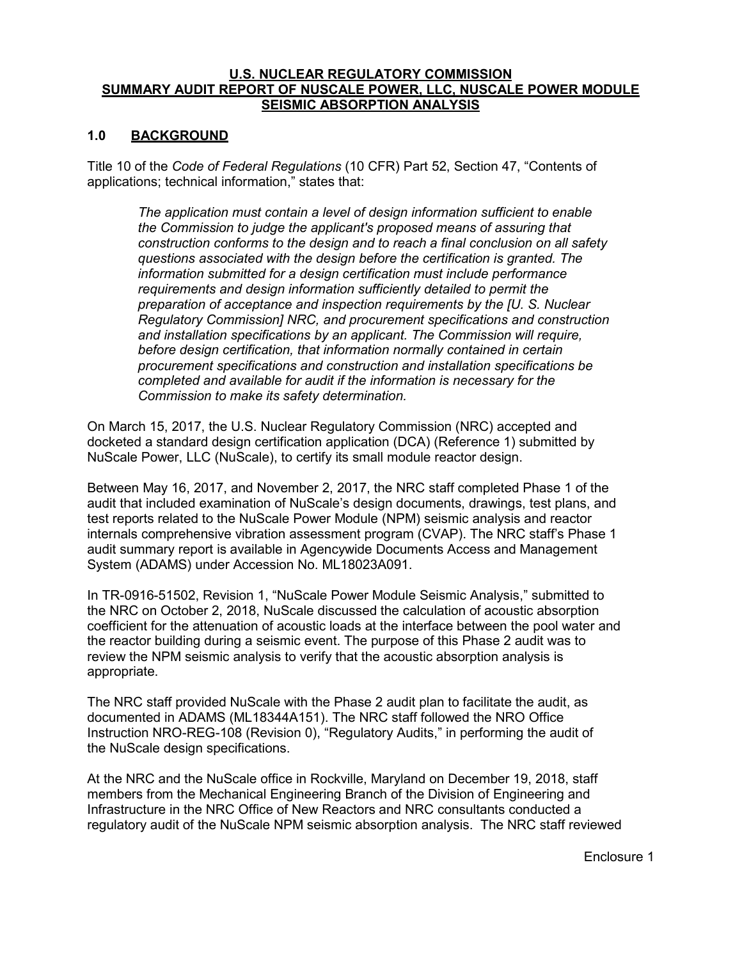#### **U.S. NUCLEAR REGULATORY COMMISSION SUMMARY AUDIT REPORT OF NUSCALE POWER, LLC, NUSCALE POWER MODULE SEISMIC ABSORPTION ANALYSIS**

### **1.0 BACKGROUND**

Title 10 of the *Code of Federal Regulations* (10 CFR) Part 52, Section 47, "Contents of applications; technical information," states that:

*The application must contain a level of design information sufficient to enable the Commission to judge the applicant's proposed means of assuring that construction conforms to the design and to reach a final conclusion on all safety questions associated with the design before the certification is granted. The information submitted for a design certification must include performance requirements and design information sufficiently detailed to permit the preparation of acceptance and inspection requirements by the [U. S. Nuclear Regulatory Commission] NRC, and procurement specifications and construction and installation specifications by an applicant. The Commission will require, before design certification, that information normally contained in certain procurement specifications and construction and installation specifications be completed and available for audit if the information is necessary for the Commission to make its safety determination.*

On March 15, 2017, the U.S. Nuclear Regulatory Commission (NRC) accepted and docketed a standard design certification application (DCA) (Reference 1) submitted by NuScale Power, LLC (NuScale), to certify its small module reactor design.

Between May 16, 2017, and November 2, 2017, the NRC staff completed Phase 1 of the audit that included examination of NuScale's design documents, drawings, test plans, and test reports related to the NuScale Power Module (NPM) seismic analysis and reactor internals comprehensive vibration assessment program (CVAP). The NRC staff's Phase 1 audit summary report is available in Agencywide Documents Access and Management System (ADAMS) under Accession No. ML18023A091.

In TR-0916-51502, Revision 1, "NuScale Power Module Seismic Analysis," submitted to the NRC on October 2, 2018, NuScale discussed the calculation of acoustic absorption coefficient for the attenuation of acoustic loads at the interface between the pool water and the reactor building during a seismic event. The purpose of this Phase 2 audit was to review the NPM seismic analysis to verify that the acoustic absorption analysis is appropriate.

The NRC staff provided NuScale with the Phase 2 audit plan to facilitate the audit, as documented in ADAMS (ML18344A151). The NRC staff followed the NRO Office Instruction NRO-REG-108 (Revision 0), "Regulatory Audits," in performing the audit of the NuScale design specifications.

At the NRC and the NuScale office in Rockville, Maryland on December 19, 2018, staff members from the Mechanical Engineering Branch of the Division of Engineering and Infrastructure in the NRC Office of New Reactors and NRC consultants conducted a regulatory audit of the NuScale NPM seismic absorption analysis. The NRC staff reviewed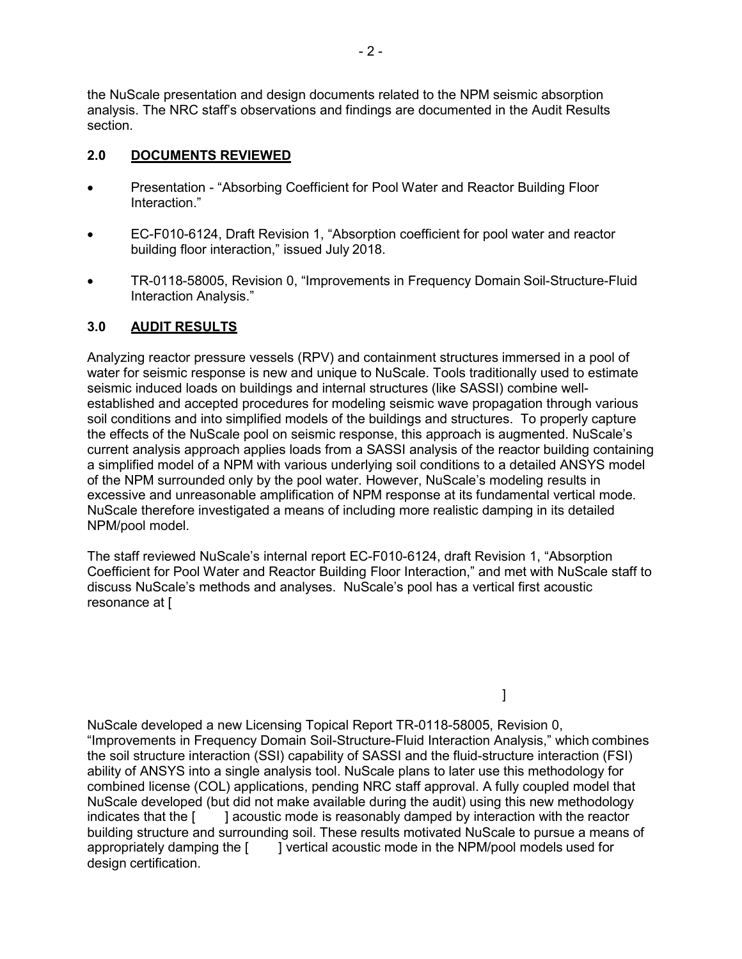the NuScale presentation and design documents related to the NPM seismic absorption analysis. The NRC staff's observations and findings are documented in the Audit Results section.

# **2.0 DOCUMENTS REVIEWED**

- Presentation "Absorbing Coefficient for Pool Water and Reactor Building Floor Interaction."
- EC-F010-6124, Draft Revision 1, "Absorption coefficient for pool water and reactor building floor interaction," issued July 2018.
- TR-0118-58005, Revision 0, "Improvements in Frequency Domain Soil-Structure-Fluid Interaction Analysis."

# **3.0 AUDIT RESULTS**

Analyzing reactor pressure vessels (RPV) and containment structures immersed in a pool of water for seismic response is new and unique to NuScale. Tools traditionally used to estimate seismic induced loads on buildings and internal structures (like SASSI) combine wellestablished and accepted procedures for modeling seismic wave propagation through various soil conditions and into simplified models of the buildings and structures. To properly capture the effects of the NuScale pool on seismic response, this approach is augmented. NuScale's current analysis approach applies loads from a SASSI analysis of the reactor building containing a simplified model of a NPM with various underlying soil conditions to a detailed ANSYS model of the NPM surrounded only by the pool water. However, NuScale's modeling results in excessive and unreasonable amplification of NPM response at its fundamental vertical mode. NuScale therefore investigated a means of including more realistic damping in its detailed NPM/pool model.

The staff reviewed NuScale's internal report EC-F010-6124, draft Revision 1, "Absorption Coefficient for Pool Water and Reactor Building Floor Interaction," and met with NuScale staff to discuss NuScale's methods and analyses. NuScale's pool has a vertical first acoustic resonance at [

NuScale developed a new Licensing Topical Report TR-0118-58005, Revision 0, "Improvements in Frequency Domain Soil-Structure-Fluid Interaction Analysis," which combines the soil structure interaction (SSI) capability of SASSI and the fluid-structure interaction (FSI) ability of ANSYS into a single analysis tool. NuScale plans to later use this methodology for combined license (COL) applications, pending NRC staff approval. A fully coupled model that NuScale developed (but did not make available during the audit) using this new methodology indicates that the  $\lceil \cdot \rceil$  acoustic mode is reasonably damped by interaction with the reactor building structure and surrounding soil. These results motivated NuScale to pursue a means of appropriately damping the [ ] vertical acoustic mode in the NPM/pool models used for design certification.

]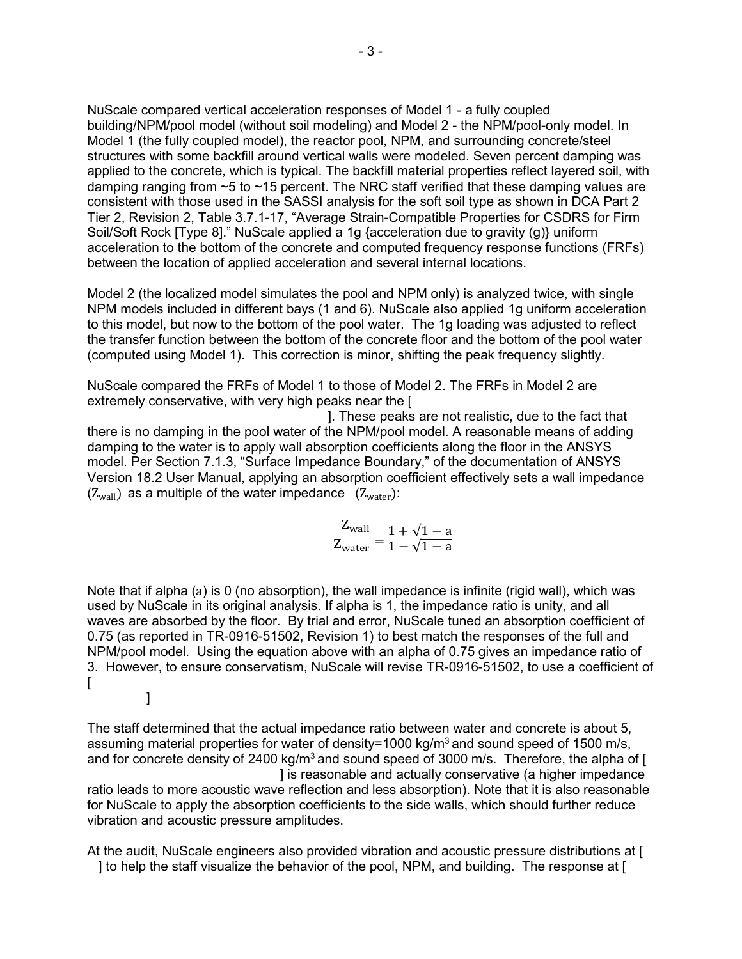NuScale compared vertical acceleration responses of Model 1 - a fully coupled building/NPM/pool model (without soil modeling) and Model 2 - the NPM/pool-only model. In Model 1 (the fully coupled model), the reactor pool, NPM, and surrounding concrete/steel structures with some backfill around vertical walls were modeled. Seven percent damping was applied to the concrete, which is typical. The backfill material properties reflect layered soil, with damping ranging from ~5 to ~15 percent. The NRC staff verified that these damping values are consistent with those used in the SASSI analysis for the soft soil type as shown in DCA Part 2 Tier 2, Revision 2, Table 3.7.1-17, "Average Strain-Compatible Properties for CSDRS for Firm Soil/Soft Rock [Type 8]." NuScale applied a 1g {acceleration due to gravity (g)} uniform acceleration to the bottom of the concrete and computed frequency response functions (FRFs) between the location of applied acceleration and several internal locations.

Model 2 (the localized model simulates the pool and NPM only) is analyzed twice, with single NPM models included in different bays (1 and 6). NuScale also applied 1g uniform acceleration to this model, but now to the bottom of the pool water. The 1g loading was adjusted to reflect the transfer function between the bottom of the concrete floor and the bottom of the pool water (computed using Model 1). This correction is minor, shifting the peak frequency slightly.

NuScale compared the FRFs of Model 1 to those of Model 2. The FRFs in Model 2 are extremely conservative, with very high peaks near the [

]. These peaks are not realistic, due to the fact that there is no damping in the pool water of the NPM/pool model. A reasonable means of adding damping to the water is to apply wall absorption coefficients along the floor in the ANSYS model. Per Section 7.1.3, "Surface Impedance Boundary," of the documentation of ANSYS Version 18.2 User Manual, applying an absorption coefficient effectively sets a wall impedance  $(Z_{wall})$  as a multiple of the water impedance  $(Z_{water})$ :

$$
\frac{Z_{\text{wall}}}{Z_{\text{water}}} = \frac{1 + \sqrt{1 - a}}{1 - \sqrt{1 - a}}
$$

Note that if alpha (a) is 0 (no absorption), the wall impedance is infinite (rigid wall), which was used by NuScale in its original analysis. If alpha is 1, the impedance ratio is unity, and all waves are absorbed by the floor. By trial and error, NuScale tuned an absorption coefficient of 0.75 (as reported in TR-0916-51502, Revision 1) to best match the responses of the full and NPM/pool model. Using the equation above with an alpha of 0.75 gives an impedance ratio of 3. However, to ensure conservatism, NuScale will revise TR-0916-51502, to use a coefficient of  $\Gamma$ ]

The staff determined that the actual impedance ratio between water and concrete is about 5, assuming material properties for water of density=1000 kg/m<sup>3</sup> and sound speed of 1500 m/s, and for concrete density of 2400 kg/m<sup>3</sup> and sound speed of 3000 m/s. Therefore, the alpha of [ ] is reasonable and actually conservative (a higher impedance

ratio leads to more acoustic wave reflection and less absorption). Note that it is also reasonable for NuScale to apply the absorption coefficients to the side walls, which should further reduce vibration and acoustic pressure amplitudes.

At the audit, NuScale engineers also provided vibration and acoustic pressure distributions at [ ] to help the staff visualize the behavior of the pool, NPM, and building. The response at [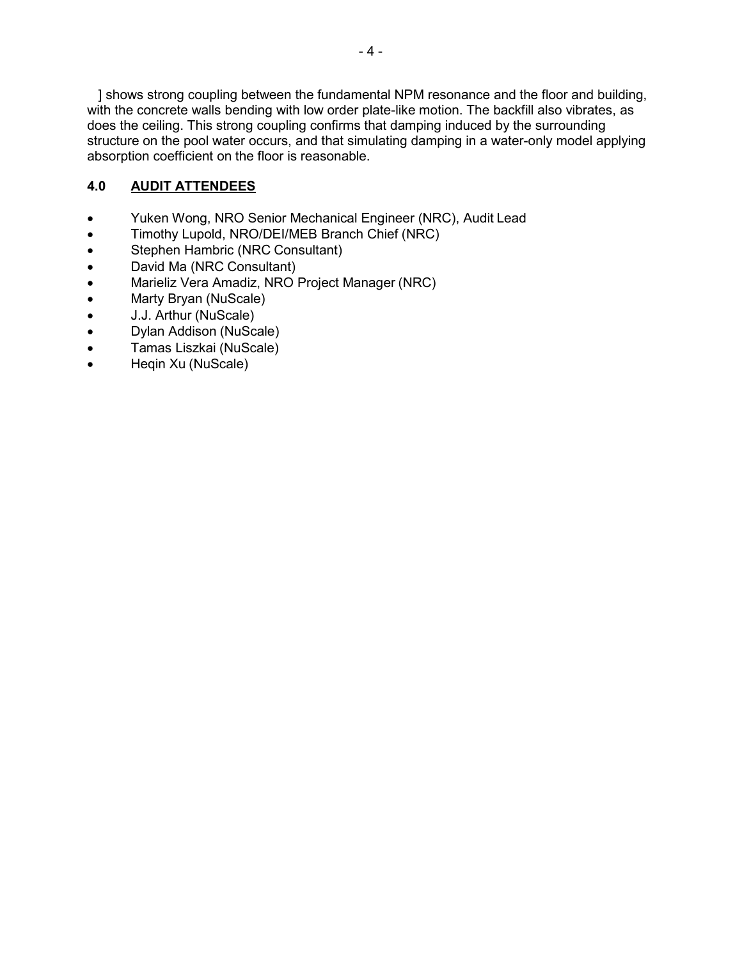] shows strong coupling between the fundamental NPM resonance and the floor and building, with the concrete walls bending with low order plate-like motion. The backfill also vibrates, as does the ceiling. This strong coupling confirms that damping induced by the surrounding structure on the pool water occurs, and that simulating damping in a water-only model applying absorption coefficient on the floor is reasonable.

# **4.0 AUDIT ATTENDEES**

- Yuken Wong, NRO Senior Mechanical Engineer (NRC), Audit Lead
- Timothy Lupold, NRO/DEI/MEB Branch Chief (NRC)
- Stephen Hambric (NRC Consultant)
- David Ma (NRC Consultant)
- Marieliz Vera Amadiz, NRO Project Manager (NRC)
- Marty Bryan (NuScale)
- J.J. Arthur (NuScale)
- Dylan Addison (NuScale)
- Tamas Liszkai (NuScale)
- Heqin Xu (NuScale)